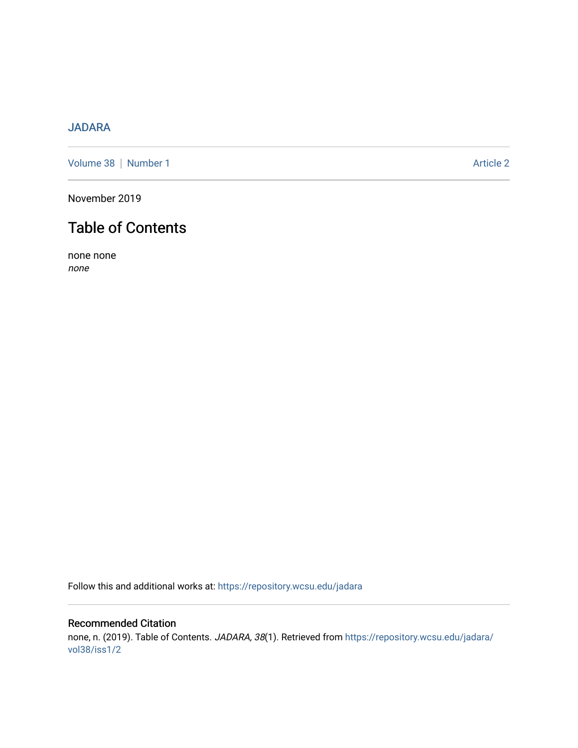# [JADARA](https://repository.wcsu.edu/jadara)

[Volume 38](https://repository.wcsu.edu/jadara/vol38) | [Number 1](https://repository.wcsu.edu/jadara/vol38/iss1) Article 2

November 2019

# Table of Contents

none none none

Follow this and additional works at: [https://repository.wcsu.edu/jadara](https://repository.wcsu.edu/jadara?utm_source=repository.wcsu.edu%2Fjadara%2Fvol38%2Fiss1%2F2&utm_medium=PDF&utm_campaign=PDFCoverPages)

## Recommended Citation none, n. (2019). Table of Contents. JADARA, 38(1). Retrieved from [https://repository.wcsu.edu/jadara/](https://repository.wcsu.edu/jadara/vol38/iss1/2?utm_source=repository.wcsu.edu%2Fjadara%2Fvol38%2Fiss1%2F2&utm_medium=PDF&utm_campaign=PDFCoverPages) [vol38/iss1/2](https://repository.wcsu.edu/jadara/vol38/iss1/2?utm_source=repository.wcsu.edu%2Fjadara%2Fvol38%2Fiss1%2F2&utm_medium=PDF&utm_campaign=PDFCoverPages)